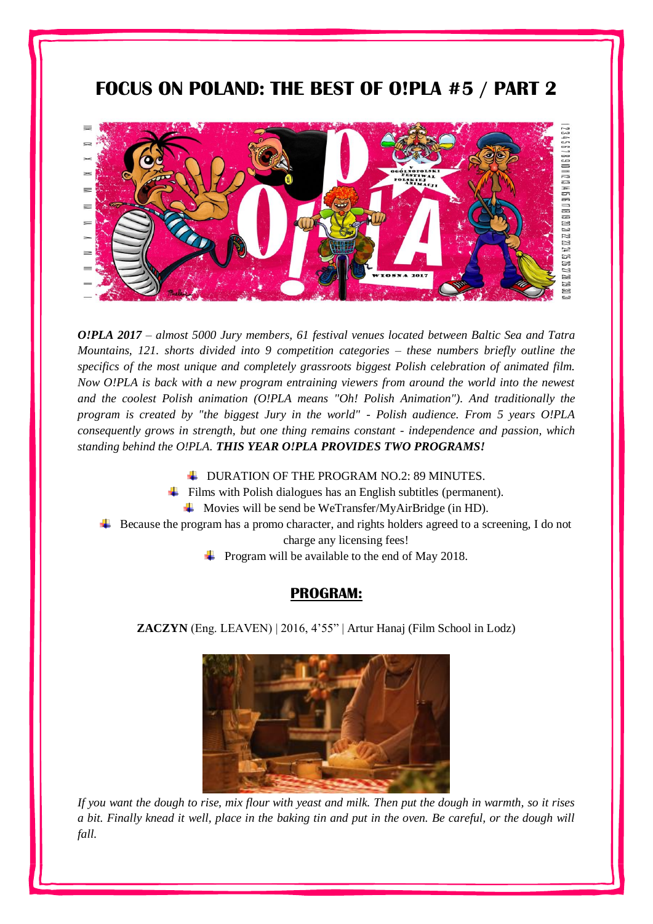# **FOCUS ON POLAND: THE BEST OF O!PLA #5 / PART 2**



*O!PLA 2017 – almost 5000 Jury members, 61 festival venues located between Baltic Sea and Tatra Mountains, 121. shorts divided into 9 competition categories – these numbers briefly outline the specifics of the most unique and completely grassroots biggest Polish celebration of animated film. Now O!PLA is back with a new program entraining viewers from around the world into the newest and the coolest Polish animation (O!PLA means "Oh! Polish Animation"). And traditionally the program is created by "the biggest Jury in the world" - Polish audience. From 5 years O!PLA consequently grows in strength, but one thing remains constant - independence and passion, which standing behind the O!PLA. THIS YEAR O!PLA PROVIDES TWO PROGRAMS!*

- URATION OF THE PROGRAM NO.2: 89 MINUTES.
- $\frac{1}{\sqrt{1}}$  Films with Polish dialogues has an English subtitles (permanent).
	- $\overline{\text{4}}$  Movies will be send be WeTransfer/MyAirBridge (in HD).
- Because the program has a promo character, and rights holders agreed to a screening, I do not

charge any licensing fees!

 $\overline{\phantom{a}}$  Program will be available to the end of May 2018.

# **PROGRAM:**

**ZACZYN** (Eng. LEAVEN) | 2016, 4'55" | Artur Hanaj (Film School in Lodz)



*If you want the dough to rise, mix flour with yeast and milk. Then put the dough in warmth, so it rises a bit. Finally knead it well, place in the baking tin and put in the oven. Be careful, or the dough will fall.*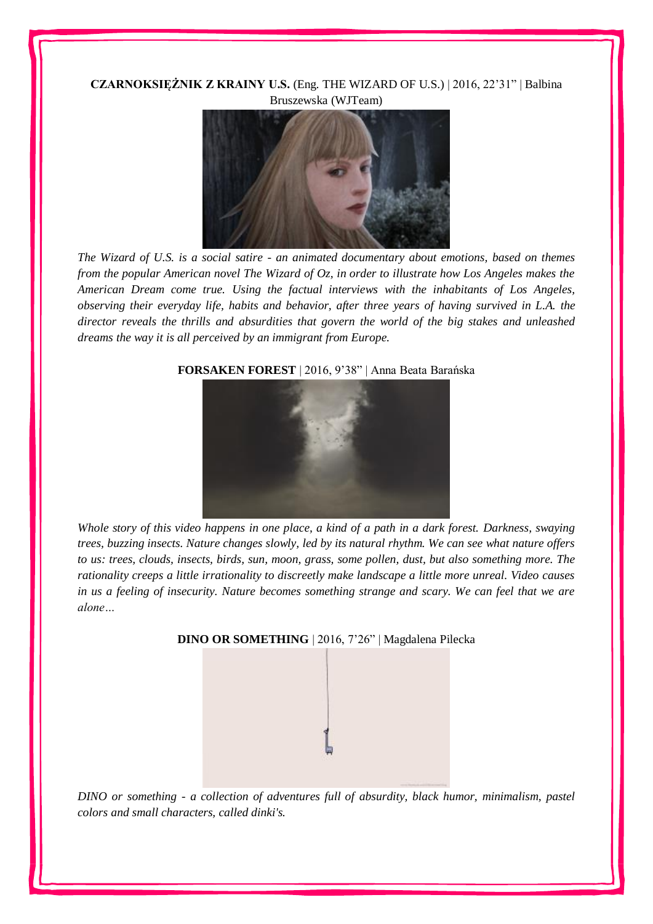#### **CZARNOKSIĘŻNIK Z KRAINY U.S.** (Eng. THE WIZARD OF U.S.) | 2016, 22'31" | Balbina Bruszewska (WJTeam)



*The Wizard of U.S. is a social satire - an animated documentary about emotions, based on themes from the popular American novel The Wizard of Oz, in order to illustrate how Los Angeles makes the American Dream come true. Using the factual interviews with the inhabitants of Los Angeles, observing their everyday life, habits and behavior, after three years of having survived in L.A. the director reveals the thrills and absurdities that govern the world of the big stakes and unleashed dreams the way it is all perceived by an immigrant from Europe.*



#### **FORSAKEN FOREST** | 2016, 9'38" | Anna Beata Barańska

*Whole story of this video happens in one place, a kind of a path in a dark forest. Darkness, swaying trees, buzzing insects. Nature changes slowly, led by its natural rhythm. We can see what nature offers to us: trees, clouds, insects, birds, sun, moon, grass, some pollen, dust, but also something more. The rationality creeps a little irrationality to discreetly make landscape a little more unreal. Video causes in us a feeling of insecurity. Nature becomes something strange and scary. We can feel that we are alone…*



*DINO or something - a collection of adventures full of absurdity, black humor, minimalism, pastel colors and small characters, called dinki's.*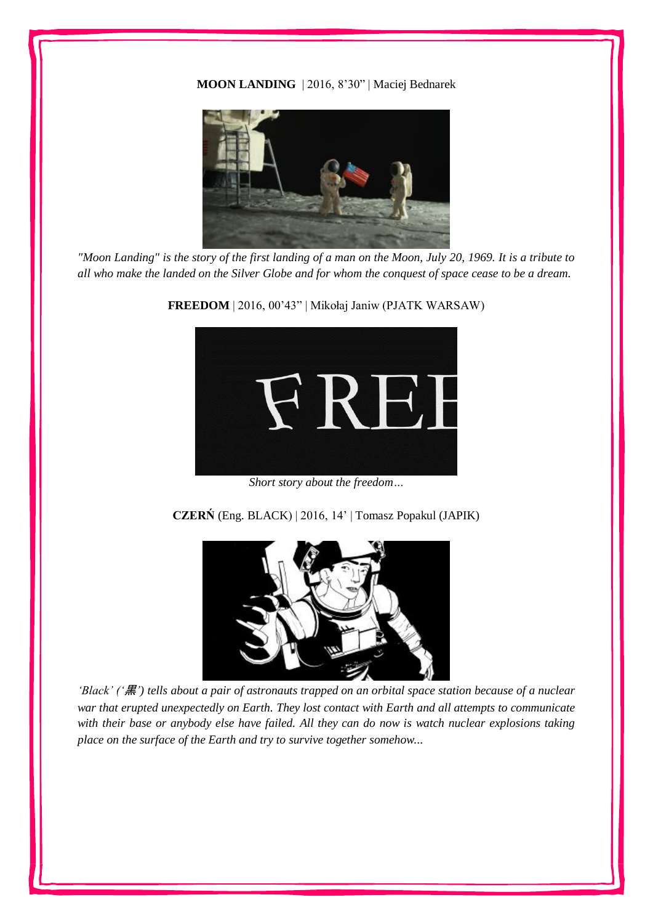**MOON LANDING** | 2016, 8'30" | Maciej Bednarek



*"Moon Landing" is the story of the first landing of a man on the Moon, July 20, 1969. It is a tribute to all who make the landed on the Silver Globe and for whom the conquest of space cease to be a dream.*



**FREEDOM** | 2016, 00'43" | Mikołaj Janiw (PJATK WARSAW)

*Short story about the freedom…*

**CZERŃ** (Eng. BLACK) | 2016, 14' | Tomasz Popakul (JAPIK)



*'Black' ('*黒*') tells about a pair of astronauts trapped on an orbital space station because of a nuclear war that erupted unexpectedly on Earth. They lost contact with Earth and all attempts to communicate with their base or anybody else have failed. All they can do now is watch nuclear explosions taking place on the surface of the Earth and try to survive together somehow...*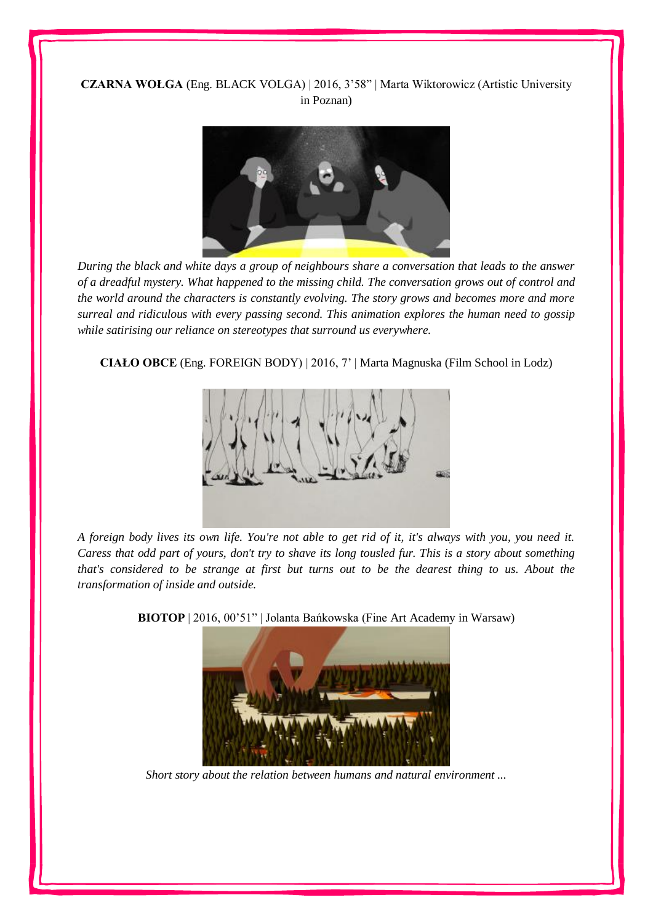## **CZARNA WOŁGA** (Eng. BLACK VOLGA) | 2016, 3'58" | Marta Wiktorowicz (Artistic University in Poznan)



*During the black and white days a group of neighbours share a conversation that leads to the answer of a dreadful mystery. What happened to the missing child. The conversation grows out of control and the world around the characters is constantly evolving. The story grows and becomes more and more surreal and ridiculous with every passing second. This animation explores the human need to gossip while satirising our reliance on stereotypes that surround us everywhere.*

**CIAŁO OBCE** (Eng. FOREIGN BODY) | 2016, 7' | Marta Magnuska (Film School in Lodz)



*A foreign body lives its own life. You're not able to get rid of it, it's always with you, you need it. Caress that odd part of yours, don't try to shave its long tousled fur. This is a story about something that's considered to be strange at first but turns out to be the dearest thing to us. About the transformation of inside and outside.*

**BIOTOP** | 2016, 00'51" | Jolanta Bańkowska (Fine Art Academy in Warsaw)



*Short story about the relation between humans and natural environment ...*